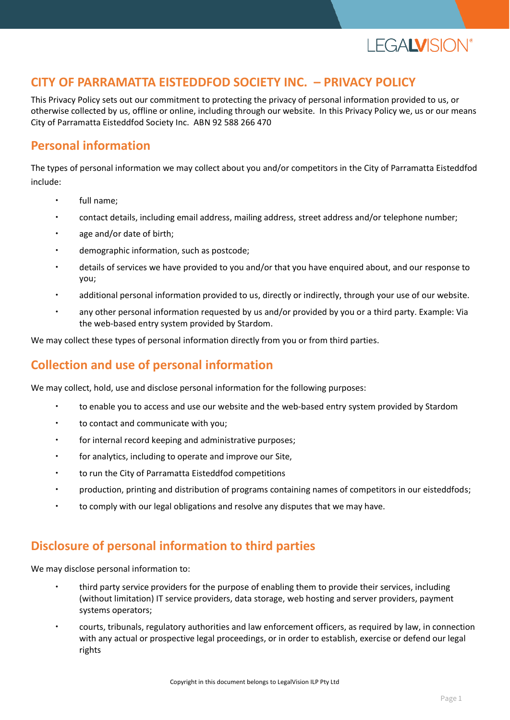

## **CITY OF PARRAMATTA EISTEDDFOD SOCIETY INC. – PRIVACY POLICY**

This Privacy Policy sets out our commitment to protecting the privacy of personal information provided to us, or otherwise collected by us, offline or online, including through our website. In this Privacy Policy we, us or our means City of Parramatta Eisteddfod Society Inc. ABN 92 588 266 470

# **Personal information**

The types of personal information we may collect about you and/or competitors in the City of Parramatta Eisteddfod include:

- full name;
- contact details, including email address, mailing address, street address and/or telephone number;
- age and/or date of birth;
- demographic information, such as postcode;
- details of services we have provided to you and/or that you have enquired about, and our response to you;
- additional personal information provided to us, directly or indirectly, through your use of our website.
- any other personal information requested by us and/or provided by you or a third party. Example: Via the web-based entry system provided by Stardom.

We may collect these types of personal information directly from you or from third parties.

# **Collection and use of personal information**

We may collect, hold, use and disclose personal information for the following purposes:

- to enable you to access and use our website and the web-based entry system provided by Stardom
- to contact and communicate with you;
- for internal record keeping and administrative purposes;
- for analytics, including to operate and improve our Site,
- to run the City of Parramatta Eisteddfod competitions
- production, printing and distribution of programs containing names of competitors in our eisteddfods;
- to comply with our legal obligations and resolve any disputes that we may have.

# **Disclosure of personal information to third parties**

We may disclose personal information to:

- third party service providers for the purpose of enabling them to provide their services, including (without limitation) IT service providers, data storage, web hosting and server providers, payment systems operators;
- courts, tribunals, regulatory authorities and law enforcement officers, as required by law, in connection with any actual or prospective legal proceedings, or in order to establish, exercise or defend our legal rights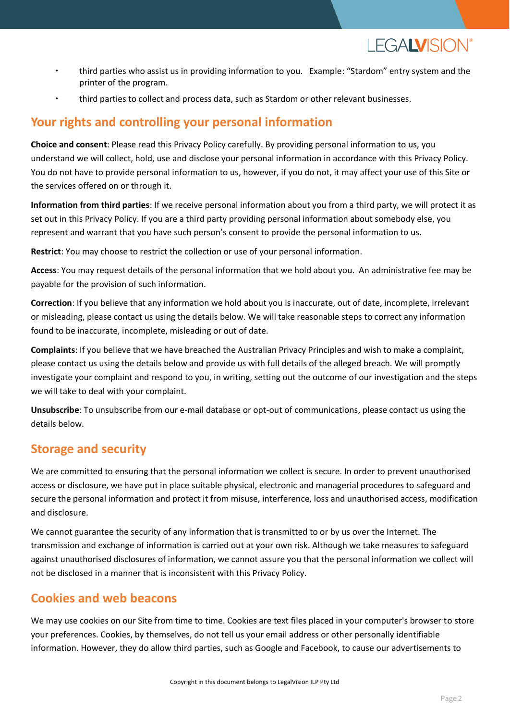

- third parties who assist us in providing information to you. Example: "Stardom" entry system and the printer of the program.
- third parties to collect and process data, such as Stardom or other relevant businesses.

# **Your rights and controlling your personal information**

**Choice and consent**: Please read this Privacy Policy carefully. By providing personal information to us, you understand we will collect, hold, use and disclose your personal information in accordance with this Privacy Policy. You do not have to provide personal information to us, however, if you do not, it may affect your use of this Site or the services offered on or through it.

**Information from third parties**: If we receive personal information about you from a third party, we will protect it as set out in this Privacy Policy. If you are a third party providing personal information about somebody else, you represent and warrant that you have such person's consent to provide the personal information to us.

**Restrict**: You may choose to restrict the collection or use of your personal information.

**Access**: You may request details of the personal information that we hold about you. An administrative fee may be payable for the provision of such information.

**Correction**: If you believe that any information we hold about you is inaccurate, out of date, incomplete, irrelevant or misleading, please contact us using the details below. We will take reasonable steps to correct any information found to be inaccurate, incomplete, misleading or out of date.

**Complaints**: If you believe that we have breached the Australian Privacy Principles and wish to make a complaint, please contact us using the details below and provide us with full details of the alleged breach. We will promptly investigate your complaint and respond to you, in writing, setting out the outcome of our investigation and the steps we will take to deal with your complaint.

**Unsubscribe**: To unsubscribe from our e-mail database or opt-out of communications, please contact us using the details below.

# **Storage and security**

We are committed to ensuring that the personal information we collect is secure. In order to prevent unauthorised access or disclosure, we have put in place suitable physical, electronic and managerial procedures to safeguard and secure the personal information and protect it from misuse, interference, loss and unauthorised access, modification and disclosure.

We cannot guarantee the security of any information that is transmitted to or by us over the Internet. The transmission and exchange of information is carried out at your own risk. Although we take measures to safeguard against unauthorised disclosures of information, we cannot assure you that the personal information we collect will not be disclosed in a manner that is inconsistent with this Privacy Policy.

# **Cookies and web beacons**

We may use cookies on our Site from time to time. Cookies are text files placed in your computer's browser to store your preferences. Cookies, by themselves, do not tell us your email address or other personally identifiable information. However, they do allow third parties, such as Google and Facebook, to cause our advertisements to